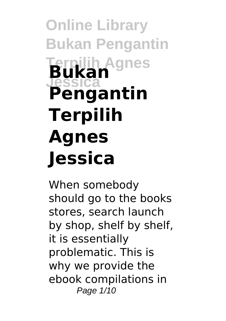# **Online Library Bukan Pengantin Terpilih Agnes Jessica Bukan Pengantin Terpilih Agnes Jessica**

When somebody should go to the books stores, search launch by shop, shelf by shelf, it is essentially problematic. This is why we provide the ebook compilations in Page 1/10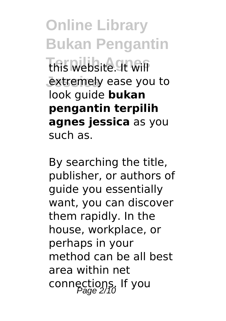**Online Library Bukan Pengantin This website. It will** extremely ease you to look guide **bukan pengantin terpilih agnes jessica** as you such as.

By searching the title, publisher, or authors of guide you essentially want, you can discover them rapidly. In the house, workplace, or perhaps in your method can be all best area within net connections. If you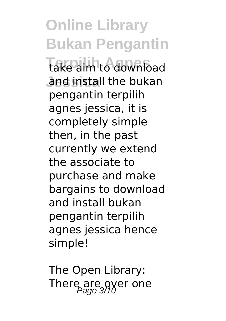**Online Library Bukan Pengantin** take aim to download and install the bukan pengantin terpilih agnes jessica, it is completely simple then, in the past currently we extend the associate to purchase and make bargains to download and install bukan pengantin terpilih agnes jessica hence simple!

The Open Library: There are over one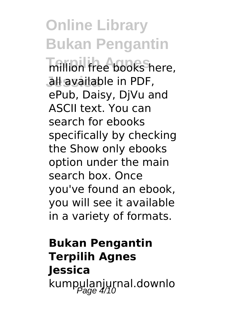**Online Library Bukan Pengantin** million free books here, all available in PDF, ePub, Daisy, DjVu and ASCII text. You can search for ebooks specifically by checking the Show only ebooks option under the main search box. Once you've found an ebook, you will see it available in a variety of formats.

### **Bukan Pengantin Terpilih Agnes Jessica** kumpulanjurnal.downlo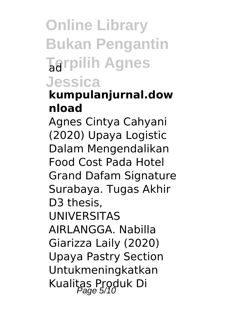## **Online Library Bukan Pengantin Tarpilih Agnes Jessica**

### **kumpulanjurnal.dow nload**

Agnes Cintya Cahyani (2020) Upaya Logistic Dalam Mengendalikan Food Cost Pada Hotel Grand Dafam Signature Surabaya. Tugas Akhir D<sub>3</sub> thesis. UNIVERSITAS AIRLANGGA. Nabilla Giarizza Laily (2020) Upaya Pastry Section Untukmeningkatkan Kualitas Produk Di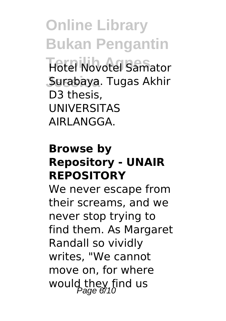**Online Library Bukan Pengantin Hotel Novotel Samator** Surabaya. Tugas Akhir D3 thesis, UNIVERSITAS AIRLANGGA.

#### **Browse by Repository - UNAIR REPOSITORY**

We never escape from their screams, and we never stop trying to find them. As Margaret Randall so vividly writes, "We cannot move on, for where would they find us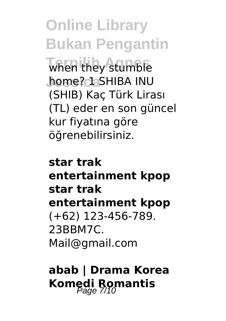**Online Library Bukan Pengantin** when they stumble **Jessica** home? 1 SHIBA INU (SHIB) Kaç Türk Lirası (TL) eder en son güncel kur fiyatına göre öğrenebilirsiniz.

**star trak entertainment kpop star trak entertainment kpop** (+62) 123-456-789. 23BBM7C. Mail@gmail.com

**abab | Drama Korea Komedi Romantis**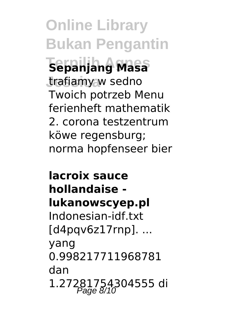**Online Library Bukan Pengantin Terpilih Agnes Sepanjang Masa** trafiamy w sedno Twoich potrzeb Menu ferienheft mathematik 2. corona testzentrum köwe regensburg; norma hopfenseer bier

**lacroix sauce hollandaise lukanowscyep.pl** Indonesian-idf.txt [d4pqv6z17rnp]. ... yang 0.998217711968781 dan 1.27281754304555 di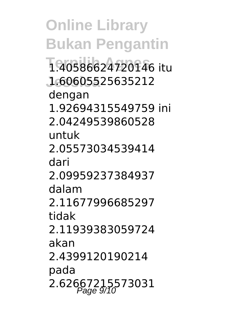**Online Library Bukan Pengantin Terpilih Agnes** 1.40586624720146 itu **Jessica** 1.60605525635212 dengan 1.92694315549759 ini 2.04249539860528 untuk 2.05573034539414 dari 2.09959237384937 dalam 2.11677996685297 tidak 2.11939383059724 akan 2.4399120190214 pada 2.62667215573031